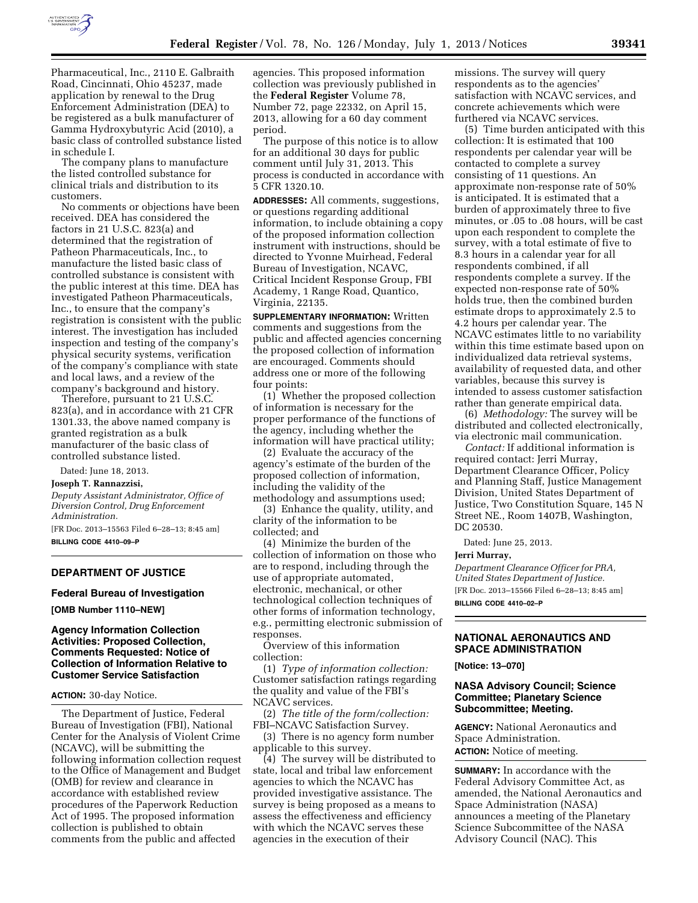

Pharmaceutical, Inc., 2110 E. Galbraith Road, Cincinnati, Ohio 45237, made application by renewal to the Drug Enforcement Administration (DEA) to be registered as a bulk manufacturer of Gamma Hydroxybutyric Acid (2010), a basic class of controlled substance listed in schedule I.

The company plans to manufacture the listed controlled substance for clinical trials and distribution to its customers.

No comments or objections have been received. DEA has considered the factors in 21 U.S.C. 823(a) and determined that the registration of Patheon Pharmaceuticals, Inc., to manufacture the listed basic class of controlled substance is consistent with the public interest at this time. DEA has investigated Patheon Pharmaceuticals, Inc., to ensure that the company's registration is consistent with the public interest. The investigation has included inspection and testing of the company's physical security systems, verification of the company's compliance with state and local laws, and a review of the company's background and history.

Therefore, pursuant to 21 U.S.C. 823(a), and in accordance with 21 CFR 1301.33, the above named company is granted registration as a bulk manufacturer of the basic class of controlled substance listed.

Dated: June 18, 2013.

**Joseph T. Rannazzisi,** 

*Deputy Assistant Administrator, Office of Diversion Control, Drug Enforcement Administration.* 

[FR Doc. 2013–15563 Filed 6–28–13; 8:45 am] **BILLING CODE 4410–09–P** 

## **DEPARTMENT OF JUSTICE**

#### **Federal Bureau of Investigation**

**[OMB Number 1110–NEW]** 

# **Agency Information Collection Activities: Proposed Collection, Comments Requested: Notice of Collection of Information Relative to Customer Service Satisfaction**

#### **ACTION:** 30-day Notice.

The Department of Justice, Federal Bureau of Investigation (FBI), National Center for the Analysis of Violent Crime (NCAVC), will be submitting the following information collection request to the Office of Management and Budget (OMB) for review and clearance in accordance with established review procedures of the Paperwork Reduction Act of 1995. The proposed information collection is published to obtain comments from the public and affected

agencies. This proposed information collection was previously published in the **Federal Register** Volume 78, Number 72, page 22332, on April 15, 2013, allowing for a 60 day comment period.

The purpose of this notice is to allow for an additional 30 days for public comment until July 31, 2013. This process is conducted in accordance with 5 CFR 1320.10.

**ADDRESSES:** All comments, suggestions, or questions regarding additional information, to include obtaining a copy of the proposed information collection instrument with instructions, should be directed to Yvonne Muirhead, Federal Bureau of Investigation, NCAVC, Critical Incident Response Group, FBI Academy, 1 Range Road, Quantico, Virginia, 22135.

**SUPPLEMENTARY INFORMATION:** Written comments and suggestions from the public and affected agencies concerning the proposed collection of information are encouraged. Comments should address one or more of the following four points:

(1) Whether the proposed collection of information is necessary for the proper performance of the functions of the agency, including whether the information will have practical utility;

(2) Evaluate the accuracy of the agency's estimate of the burden of the proposed collection of information, including the validity of the methodology and assumptions used;

(3) Enhance the quality, utility, and clarity of the information to be collected; and

(4) Minimize the burden of the collection of information on those who are to respond, including through the use of appropriate automated, electronic, mechanical, or other technological collection techniques of other forms of information technology, e.g., permitting electronic submission of responses.

Overview of this information collection:

(1) *Type of information collection:*  Customer satisfaction ratings regarding the quality and value of the FBI's NCAVC services.

(2) *The title of the form/collection:*  FBI–NCAVC Satisfaction Survey.

(3) There is no agency form number applicable to this survey.

(4) The survey will be distributed to state, local and tribal law enforcement agencies to which the NCAVC has provided investigative assistance. The survey is being proposed as a means to assess the effectiveness and efficiency with which the NCAVC serves these agencies in the execution of their

missions. The survey will query respondents as to the agencies' satisfaction with NCAVC services, and concrete achievements which were furthered via NCAVC services.

(5) Time burden anticipated with this collection: It is estimated that 100 respondents per calendar year will be contacted to complete a survey consisting of 11 questions. An approximate non-response rate of 50% is anticipated. It is estimated that a burden of approximately three to five minutes, or .05 to .08 hours, will be cast upon each respondent to complete the survey, with a total estimate of five to 8.3 hours in a calendar year for all respondents combined, if all respondents complete a survey. If the expected non-response rate of 50% holds true, then the combined burden estimate drops to approximately 2.5 to 4.2 hours per calendar year. The NCAVC estimates little to no variability within this time estimate based upon on individualized data retrieval systems, availability of requested data, and other variables, because this survey is intended to assess customer satisfaction rather than generate empirical data.

(6) *Methodology:* The survey will be distributed and collected electronically, via electronic mail communication.

*Contact:* If additional information is required contact: Jerri Murray, Department Clearance Officer, Policy and Planning Staff, Justice Management Division, United States Department of Justice, Two Constitution Square, 145 N Street NE., Room 1407B, Washington, DC 20530.

Dated: June 25, 2013.

#### **Jerri Murray,**

*Department Clearance Officer for PRA, United States Department of Justice.*  [FR Doc. 2013–15566 Filed 6–28–13; 8:45 am] **BILLING CODE 4410–02–P** 

## **NATIONAL AERONAUTICS AND SPACE ADMINISTRATION**

**[Notice: 13–070]** 

# **NASA Advisory Council; Science Committee; Planetary Science Subcommittee; Meeting.**

**AGENCY:** National Aeronautics and Space Administration. **ACTION:** Notice of meeting.

**SUMMARY:** In accordance with the Federal Advisory Committee Act, as amended, the National Aeronautics and Space Administration (NASA) announces a meeting of the Planetary Science Subcommittee of the NASA Advisory Council (NAC). This